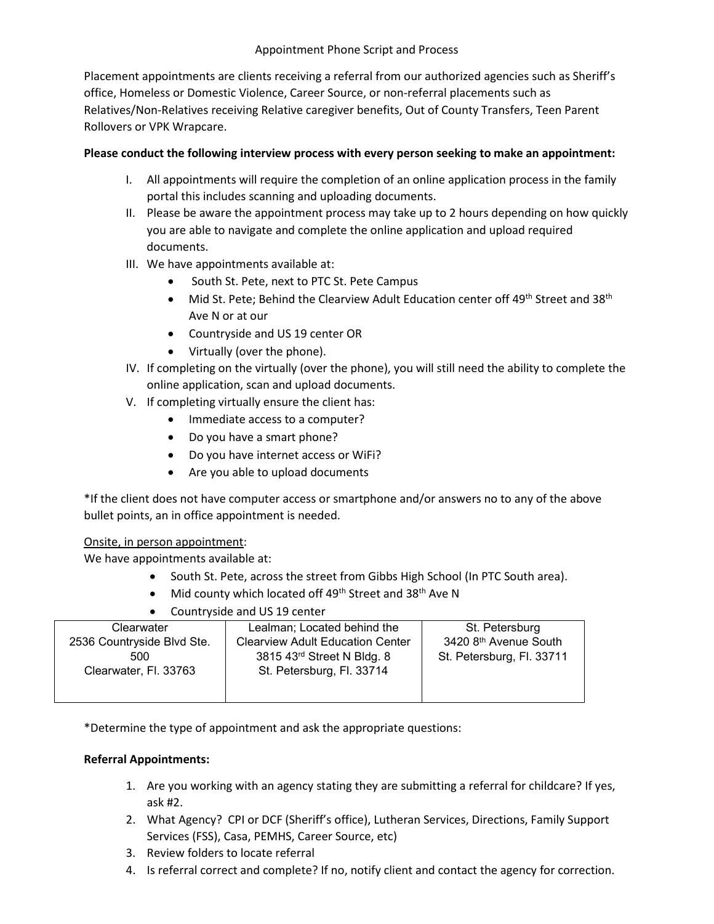#### Appointment Phone Script and Process

Placement appointments are clients receiving a referral from our authorized agencies such as Sheriff's office, Homeless or Domestic Violence, Career Source, or non-referral placements such as Relatives/Non-Relatives receiving Relative caregiver benefits, Out of County Transfers, Teen Parent Rollovers or VPK Wrapcare.

### **Please conduct the following interview process with every person seeking to make an appointment:**

- I. All appointments will require the completion of an online application process in the family portal this includes scanning and uploading documents.
- II. Please be aware the appointment process may take up to 2 hours depending on how quickly you are able to navigate and complete the online application and upload required documents.
- III. We have appointments available at:
	- South St. Pete, next to PTC St. Pete Campus
	- Mid St. Pete; Behind the Clearview Adult Education center off 49<sup>th</sup> Street and 38<sup>th</sup> Ave N or at our
	- Countryside and US 19 center OR
	- Virtually (over the phone).
- IV. If completing on the virtually (over the phone), you will still need the ability to complete the online application, scan and upload documents.
- V. If completing virtually ensure the client has:
	- Immediate access to a computer?
	- Do you have a smart phone?
	- Do you have internet access or WiFi?
	- Are you able to upload documents

\*If the client does not have computer access or smartphone and/or answers no to any of the above bullet points, an in office appointment is needed.

## Onsite, in person appointment:

We have appointments available at:

- South St. Pete, across the street from Gibbs High School (In PTC South area).
- Mid county which located off  $49<sup>th</sup>$  Street and  $38<sup>th</sup>$  Ave N
- Countryside and US 19 center

| Clearwater                 | Lealman; Located behind the             | St. Petersburg            |
|----------------------------|-----------------------------------------|---------------------------|
| 2536 Countryside Blvd Ste. | <b>Clearview Adult Education Center</b> | 3420 8th Avenue South     |
| 500                        | 3815 43rd Street N Bldg. 8              | St. Petersburg, Fl. 33711 |
| Clearwater, Fl. 33763      | St. Petersburg, Fl. 33714               |                           |
|                            |                                         |                           |
|                            |                                         |                           |

\*Determine the type of appointment and ask the appropriate questions:

#### **Referral Appointments:**

- 1. Are you working with an agency stating they are submitting a referral for childcare? If yes, ask #2.
- 2. What Agency? CPI or DCF (Sheriff's office), Lutheran Services, Directions, Family Support Services (FSS), Casa, PEMHS, Career Source, etc)
- 3. Review folders to locate referral
- 4. Is referral correct and complete? If no, notify client and contact the agency for correction.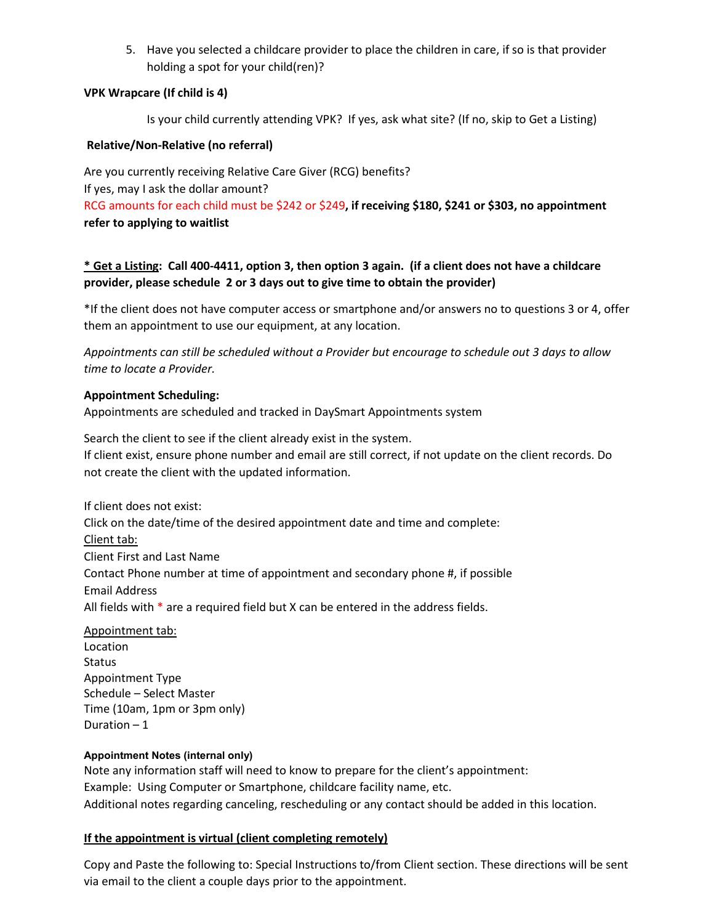5. Have you selected a childcare provider to place the children in care, if so is that provider holding a spot for your child(ren)?

#### **VPK Wrapcare (If child is 4)**

Is your child currently attending VPK? If yes, ask what site? (If no, skip to Get a Listing)

#### **Relative/Non-Relative (no referral)**

Are you currently receiving Relative Care Giver (RCG) benefits? If yes, may I ask the dollar amount?

RCG amounts for each child must be \$242 or \$249**, if receiving \$180, \$241 or \$303, no appointment refer to applying to waitlist**

# **\* Get a Listing: Call 400-4411, option 3, then option 3 again. (if a client does not have a childcare provider, please schedule 2 or 3 days out to give time to obtain the provider)**

\*If the client does not have computer access or smartphone and/or answers no to questions 3 or 4, offer them an appointment to use our equipment, at any location.

*Appointments can still be scheduled without a Provider but encourage to schedule out 3 days to allow time to locate a Provider.*

#### **Appointment Scheduling:**

Appointments are scheduled and tracked in DaySmart Appointments system

Search the client to see if the client already exist in the system. If client exist, ensure phone number and email are still correct, if not update on the client records. Do not create the client with the updated information.

If client does not exist: Click on the date/time of the desired appointment date and time and complete: Client tab: Client First and Last Name Contact Phone number at time of appointment and secondary phone #, if possible Email Address All fields with \* are a required field but X can be entered in the address fields.

Appointment tab: Location Status Appointment Type Schedule – Select Master Time (10am, 1pm or 3pm only) Duration – 1

#### **Appointment Notes (internal only)**

Note any information staff will need to know to prepare for the client's appointment: Example: Using Computer or Smartphone, childcare facility name, etc. Additional notes regarding canceling, rescheduling or any contact should be added in this location.

## **If the appointment is virtual (client completing remotely)**

Copy and Paste the following to: Special Instructions to/from Client section. These directions will be sent via email to the client a couple days prior to the appointment.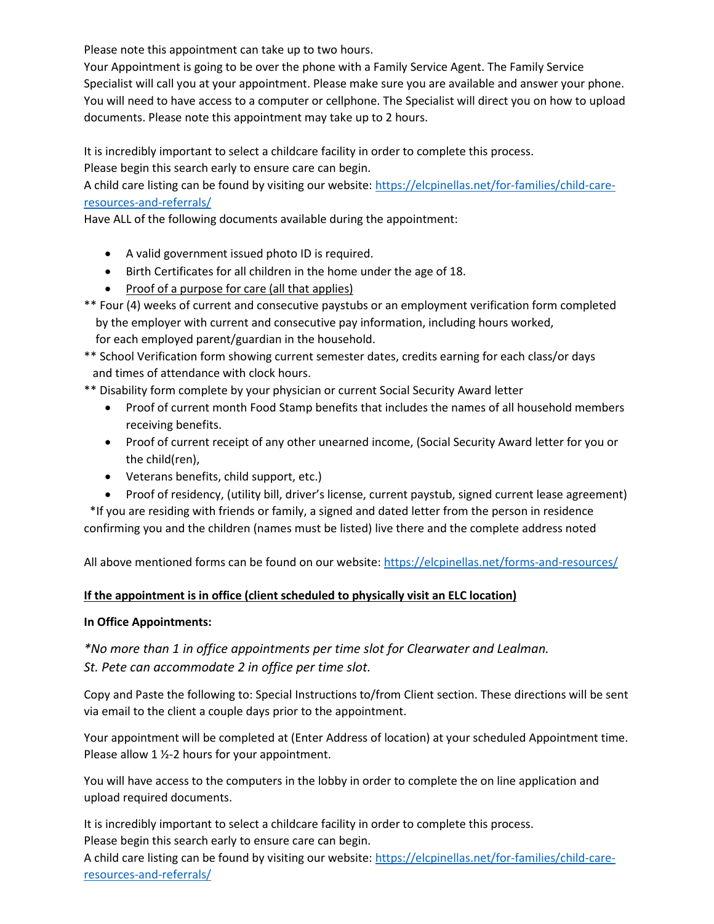Please note this appointment can take up to two hours.

Your Appointment is going to be over the phone with a Family Service Agent. The Family Service Specialist will call you at your appointment. Please make sure you are available and answer your phone. You will need to have access to a computer or cellphone. The Specialist will direct you on how to upload documents. Please note this appointment may take up to 2 hours.

It is incredibly important to select a childcare facility in order to complete this process. Please begin this search early to ensure care can begin.

A child care listing can be found by visiting our website: [https://elcpinellas.net/for-families/child-care](https://elcpinellas.net/for-families/child-care-resources-and-referrals/)[resources-and-referrals/](https://elcpinellas.net/for-families/child-care-resources-and-referrals/) 

Have ALL of the following documents available during the appointment:

- A valid government issued photo ID is required.
- Birth Certificates for all children in the home under the age of 18.
- Proof of a purpose for care (all that applies)
- \*\* Four (4) weeks of current and consecutive paystubs or an employment verification form completed by the employer with current and consecutive pay information, including hours worked, for each employed parent/guardian in the household.
- \*\* School Verification form showing current semester dates, credits earning for each class/or days and times of attendance with clock hours.
- \*\* Disability form complete by your physician or current Social Security Award letter
	- Proof of current month Food Stamp benefits that includes the names of all household members receiving benefits.
	- Proof of current receipt of any other unearned income, (Social Security Award letter for you or the child(ren),
	- Veterans benefits, child support, etc.)
	- Proof of residency, (utility bill, driver's license, current paystub, signed current lease agreement)

 \*If you are residing with friends or family, a signed and dated letter from the person in residence confirming you and the children (names must be listed) live there and the complete address noted

All above mentioned forms can be found on our website:<https://elcpinellas.net/forms-and-resources/>

#### **If the appointment is in office (client scheduled to physically visit an ELC location)**

#### **In Office Appointments:**

*\*No more than 1 in office appointments per time slot for Clearwater and Lealman. St. Pete can accommodate 2 in office per time slot.* 

Copy and Paste the following to: Special Instructions to/from Client section. These directions will be sent via email to the client a couple days prior to the appointment.

Your appointment will be completed at (Enter Address of location) at your scheduled Appointment time. Please allow 1 ½-2 hours for your appointment.

You will have access to the computers in the lobby in order to complete the on line application and upload required documents.

It is incredibly important to select a childcare facility in order to complete this process. Please begin this search early to ensure care can begin.

A child care listing can be found by visiting our website: [https://elcpinellas.net/for-families/child-care](https://elcpinellas.net/for-families/child-care-resources-and-referrals/)[resources-and-referrals/](https://elcpinellas.net/for-families/child-care-resources-and-referrals/)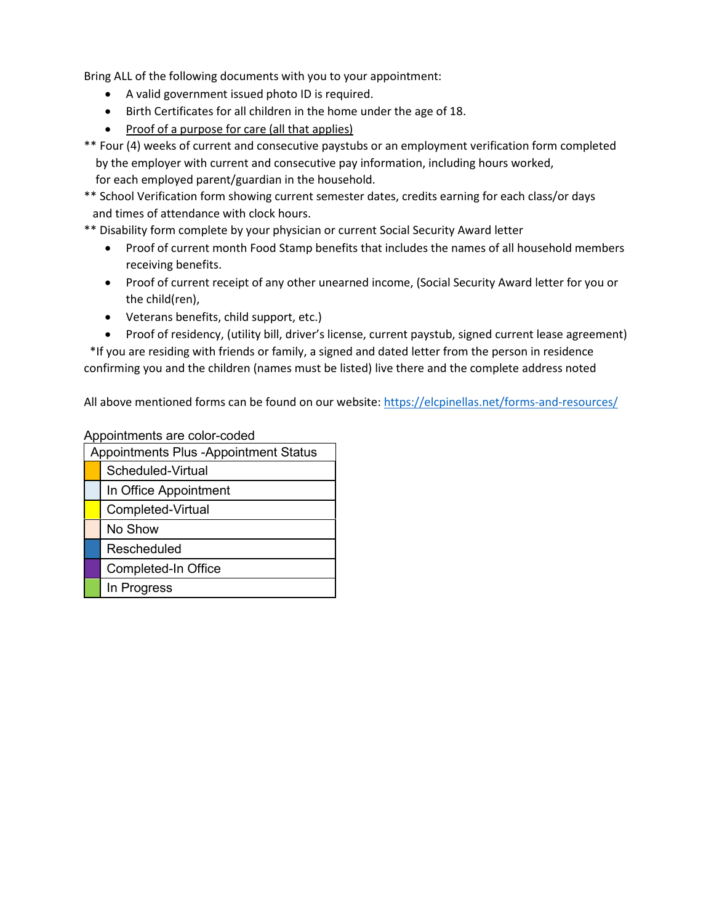Bring ALL of the following documents with you to your appointment:

- A valid government issued photo ID is required.
- Birth Certificates for all children in the home under the age of 18.
- Proof of a purpose for care (all that applies)

\*\* Four (4) weeks of current and consecutive paystubs or an employment verification form completed by the employer with current and consecutive pay information, including hours worked, for each employed parent/guardian in the household.

\*\* School Verification form showing current semester dates, credits earning for each class/or days and times of attendance with clock hours.

- \*\* Disability form complete by your physician or current Social Security Award letter
	- Proof of current month Food Stamp benefits that includes the names of all household members receiving benefits.
	- Proof of current receipt of any other unearned income, (Social Security Award letter for you or the child(ren),
	- Veterans benefits, child support, etc.)
	- Proof of residency, (utility bill, driver's license, current paystub, signed current lease agreement)

 \*If you are residing with friends or family, a signed and dated letter from the person in residence confirming you and the children (names must be listed) live there and the complete address noted

All above mentioned forms can be found on our website:<https://elcpinellas.net/forms-and-resources/>

Appointments are color-coded

| Appointments Plus -Appointment Status |                       |  |  |
|---------------------------------------|-----------------------|--|--|
|                                       | Scheduled-Virtual     |  |  |
|                                       | In Office Appointment |  |  |
|                                       | Completed-Virtual     |  |  |
|                                       | No Show               |  |  |
|                                       | Rescheduled           |  |  |
|                                       | Completed-In Office   |  |  |
|                                       | In Progress           |  |  |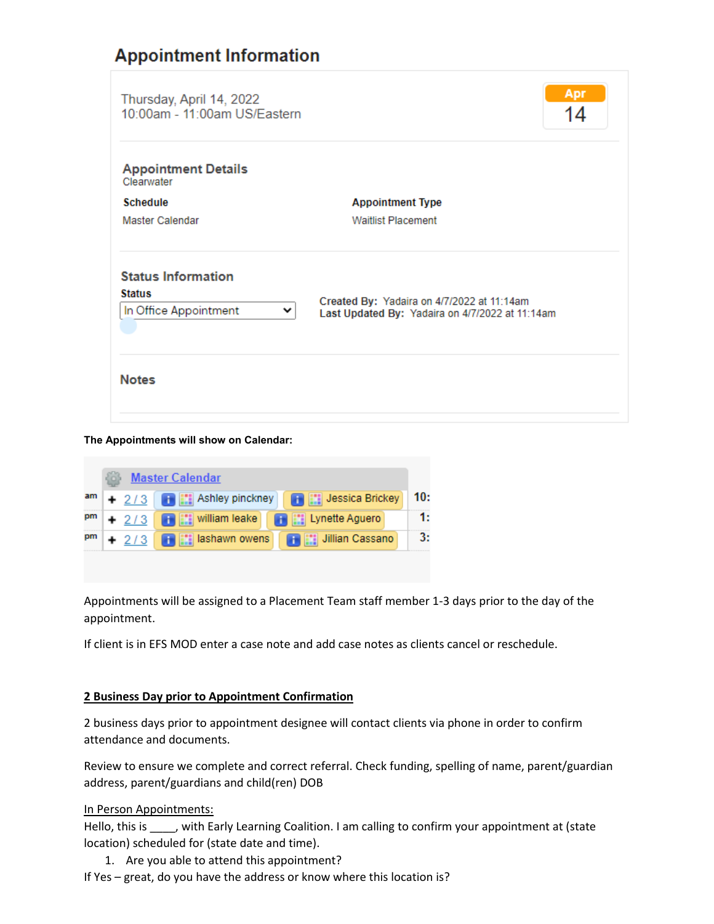# **Appointment Information**

| 10:00am - 11:00am US/Eastern                                                                  | 14 |  |
|-----------------------------------------------------------------------------------------------|----|--|
|                                                                                               |    |  |
| <b>Appointment Type</b>                                                                       |    |  |
| <b>Waitlist Placement</b>                                                                     |    |  |
| Created By: Yadaira on 4/7/2022 at 11:14am<br>Last Updated By: Yadaira on 4/7/2022 at 11:14am |    |  |
|                                                                                               |    |  |
|                                                                                               |    |  |

**The Appointments will show on Calendar:**

|    | Master Calendar |         |                                                       |  |                            |     |
|----|-----------------|---------|-------------------------------------------------------|--|----------------------------|-----|
| am |                 |         | + 2/3 <b>+ 2/3</b>                                    |  |                            | 10: |
| pm |                 |         | $+ 2/3$ $+$ $\frac{1}{2}$ $\frac{1}{2}$ william leake |  | <b>THE Lynette Aguero</b>  | 1:  |
| pm |                 | $+ 2/3$ | <b>THE lashawn owens</b>                              |  | <b>THE Jillian Cassano</b> | 3:  |
|    |                 |         |                                                       |  |                            |     |

Appointments will be assigned to a Placement Team staff member 1-3 days prior to the day of the appointment.

If client is in EFS MOD enter a case note and add case notes as clients cancel or reschedule.

#### **2 Business Day prior to Appointment Confirmation**

2 business days prior to appointment designee will contact clients via phone in order to confirm attendance and documents.

Review to ensure we complete and correct referral. Check funding, spelling of name, parent/guardian address, parent/guardians and child(ren) DOB

#### In Person Appointments:

Hello, this is \_\_\_\_, with Early Learning Coalition. I am calling to confirm your appointment at (state location) scheduled for (state date and time).

- 1. Are you able to attend this appointment?
- If Yes great, do you have the address or know where this location is?